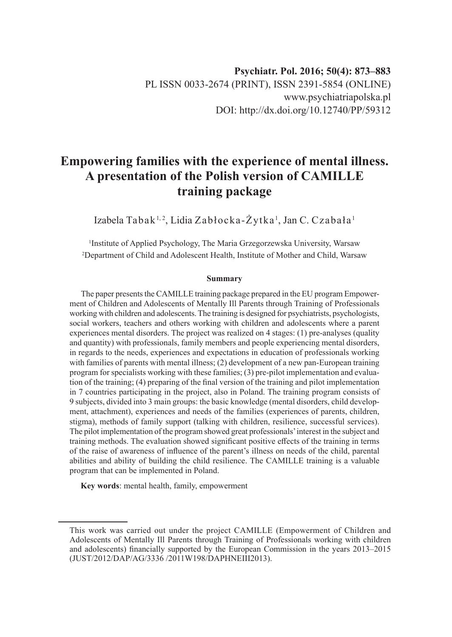# **Empowering families with the experience of mental illness. A presentation of the Polish version of CAMILLE training package**

Izabela Tabak<sup>1,2</sup>, Lidia Zabłocka-Żytka<sup>1</sup>, Jan C. Czabała<sup>1</sup>

1 Institute of Applied Psychology, The Maria Grzegorzewska University, Warsaw 2 Department of Child and Adolescent Health, Institute of Mother and Child, Warsaw

#### **Summary**

The paper presents the CAMILLE training package prepared in the EU program Empowerment of Children and Adolescents of Mentally Ill Parents through Training of Professionals working with children and adolescents. The training is designed for psychiatrists, psychologists, social workers, teachers and others working with children and adolescents where a parent experiences mental disorders. The project was realized on 4 stages: (1) pre-analyses (quality and quantity) with professionals, family members and people experiencing mental disorders, in regards to the needs, experiences and expectations in education of professionals working with families of parents with mental illness; (2) development of a new pan-European training program for specialists working with these families; (3) pre-pilot implementation and evaluation of the training; (4) preparing of the final version of the training and pilot implementation in 7 countries participating in the project, also in Poland. The training program consists of 9 subjects, divided into 3 main groups: the basic knowledge (mental disorders, child development, attachment), experiences and needs of the families (experiences of parents, children, stigma), methods of family support (talking with children, resilience, successful services). The pilot implementation of the program showed great professionals' interest in the subject and training methods. The evaluation showed significant positive effects of the training in terms of the raise of awareness of influence of the parent's illness on needs of the child, parental abilities and ability of building the child resilience. The CAMILLE training is a valuable program that can be implemented in Poland.

**Key words**: mental health, family, empowerment

This work was carried out under the project CAMILLE (Empowerment of Children and Adolescents of Mentally Ill Parents through Training of Professionals working with children and adolescents) financially supported by the European Commission in the years 2013–2015 (JUST/2012/DAP/AG/3336 /2011W198/DAPHNEIII2013).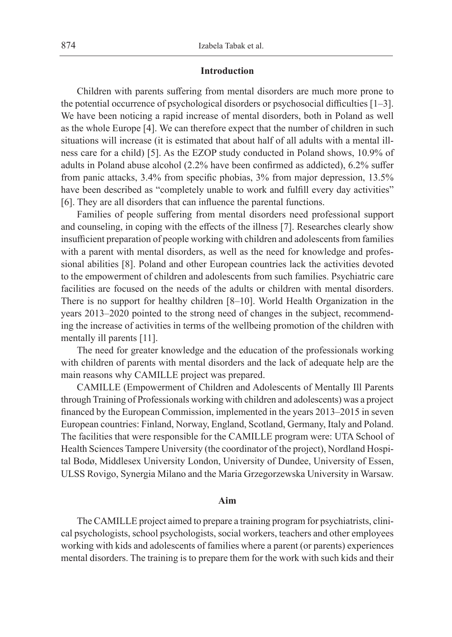## **Introduction**

Children with parents suffering from mental disorders are much more prone to the potential occurrence of psychological disorders or psychosocial difficulties [1–3]. We have been noticing a rapid increase of mental disorders, both in Poland as well as the whole Europe [4]. We can therefore expect that the number of children in such situations will increase (it is estimated that about half of all adults with a mental illness care for a child) [5]. As the EZOP study conducted in Poland shows, 10.9% of adults in Poland abuse alcohol (2.2% have been confirmed as addicted), 6.2% suffer from panic attacks, 3.4% from specific phobias, 3% from major depression, 13.5% have been described as "completely unable to work and fulfill every day activities" [6]. They are all disorders that can influence the parental functions.

Families of people suffering from mental disorders need professional support and counseling, in coping with the effects of the illness [7]. Researches clearly show insufficient preparation of people working with children and adolescents from families with a parent with mental disorders, as well as the need for knowledge and professional abilities [8]. Poland and other European countries lack the activities devoted to the empowerment of children and adolescents from such families. Psychiatric care facilities are focused on the needs of the adults or children with mental disorders. There is no support for healthy children [8–10]. World Health Organization in the years 2013–2020 pointed to the strong need of changes in the subject, recommending the increase of activities in terms of the wellbeing promotion of the children with mentally ill parents [11].

The need for greater knowledge and the education of the professionals working with children of parents with mental disorders and the lack of adequate help are the main reasons why CAMILLE project was prepared.

CAMILLE (Empowerment of Children and Adolescents of Mentally Ill Parents through Training of Professionals working with children and adolescents) was a project financed by the European Commission, implemented in the years 2013–2015 in seven European countries: Finland, Norway, England, Scotland, Germany, Italy and Poland. The facilities that were responsible for the CAMILLE program were: UTA School of Health Sciences Tampere University (the coordinator of the project), Nordland Hospital Bodø, Middlesex University London, University of Dundee, University of Essen, ULSS Rovigo, Synergia Milano and the Maria Grzegorzewska University in Warsaw.

## **Aim**

The CAMILLE project aimed to prepare a training program for psychiatrists, clinical psychologists, school psychologists, social workers, teachers and other employees working with kids and adolescents of families where a parent (or parents) experiences mental disorders. The training is to prepare them for the work with such kids and their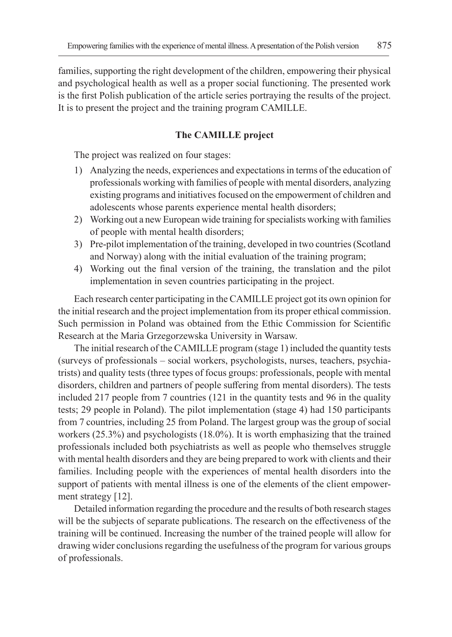families, supporting the right development of the children, empowering their physical and psychological health as well as a proper social functioning. The presented work is the first Polish publication of the article series portraying the results of the project. It is to present the project and the training program CAMILLE.

# **The CAMILLE project**

The project was realized on four stages:

- 1) Analyzing the needs, experiences and expectations in terms of the education of professionals working with families of people with mental disorders, analyzing existing programs and initiatives focused on the empowerment of children and adolescents whose parents experience mental health disorders;
- 2) Working out a new European wide training for specialists working with families of people with mental health disorders;
- 3) Pre-pilot implementation of the training, developed in two countries (Scotland and Norway) along with the initial evaluation of the training program;
- 4) Working out the final version of the training, the translation and the pilot implementation in seven countries participating in the project.

Each research center participating in the CAMILLE project got its own opinion for the initial research and the project implementation from its proper ethical commission. Such permission in Poland was obtained from the Ethic Commission for Scientific Research at the Maria Grzegorzewska University in Warsaw.

The initial research of the CAMILLE program (stage 1) included the quantity tests (surveys of professionals – social workers, psychologists, nurses, teachers, psychiatrists) and quality tests (three types of focus groups: professionals, people with mental disorders, children and partners of people suffering from mental disorders). The tests included 217 people from 7 countries (121 in the quantity tests and 96 in the quality tests; 29 people in Poland). The pilot implementation (stage 4) had 150 participants from 7 countries, including 25 from Poland. The largest group was the group of social workers (25.3%) and psychologists (18.0%). It is worth emphasizing that the trained professionals included both psychiatrists as well as people who themselves struggle with mental health disorders and they are being prepared to work with clients and their families. Including people with the experiences of mental health disorders into the support of patients with mental illness is one of the elements of the client empowerment strategy [12].

Detailed information regarding the procedure and the results of both research stages will be the subjects of separate publications. The research on the effectiveness of the training will be continued. Increasing the number of the trained people will allow for drawing wider conclusions regarding the usefulness of the program for various groups of professionals.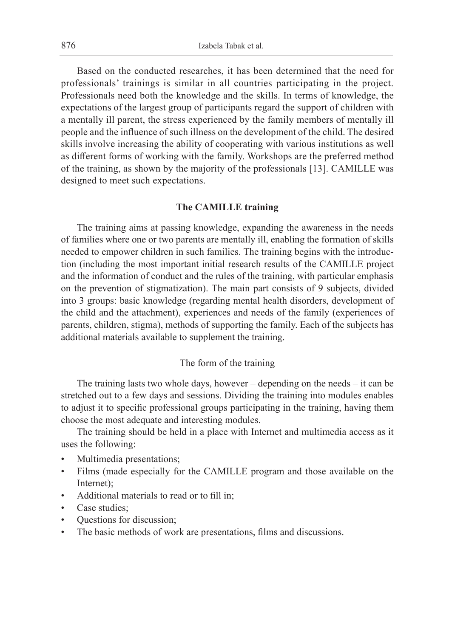Based on the conducted researches, it has been determined that the need for professionals' trainings is similar in all countries participating in the project. Professionals need both the knowledge and the skills. In terms of knowledge, the expectations of the largest group of participants regard the support of children with a mentally ill parent, the stress experienced by the family members of mentally ill people and the influence of such illness on the development of the child. The desired skills involve increasing the ability of cooperating with various institutions as well as different forms of working with the family. Workshops are the preferred method of the training, as shown by the majority of the professionals [13]. CAMILLE was designed to meet such expectations.

## **The CAMILLE training**

The training aims at passing knowledge, expanding the awareness in the needs of families where one or two parents are mentally ill, enabling the formation of skills needed to empower children in such families. The training begins with the introduction (including the most important initial research results of the CAMILLE project and the information of conduct and the rules of the training, with particular emphasis on the prevention of stigmatization). The main part consists of 9 subjects, divided into 3 groups: basic knowledge (regarding mental health disorders, development of the child and the attachment), experiences and needs of the family (experiences of parents, children, stigma), methods of supporting the family. Each of the subjects has additional materials available to supplement the training.

## The form of the training

The training lasts two whole days, however – depending on the needs – it can be stretched out to a few days and sessions. Dividing the training into modules enables to adjust it to specific professional groups participating in the training, having them choose the most adequate and interesting modules.

The training should be held in a place with Internet and multimedia access as it uses the following:

- Multimedia presentations;
- Films (made especially for the CAMILLE program and those available on the Internet);
- Additional materials to read or to fill in;
- Case studies;
- Questions for discussion;
- The basic methods of work are presentations, films and discussions.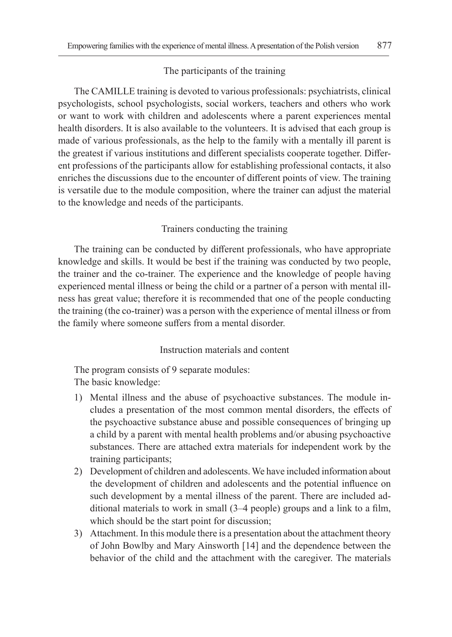#### The participants of the training

The CAMILLE training is devoted to various professionals: psychiatrists, clinical psychologists, school psychologists, social workers, teachers and others who work or want to work with children and adolescents where a parent experiences mental health disorders. It is also available to the volunteers. It is advised that each group is made of various professionals, as the help to the family with a mentally ill parent is the greatest if various institutions and different specialists cooperate together. Different professions of the participants allow for establishing professional contacts, it also enriches the discussions due to the encounter of different points of view. The training is versatile due to the module composition, where the trainer can adjust the material to the knowledge and needs of the participants.

## Trainers conducting the training

The training can be conducted by different professionals, who have appropriate knowledge and skills. It would be best if the training was conducted by two people, the trainer and the co-trainer. The experience and the knowledge of people having experienced mental illness or being the child or a partner of a person with mental illness has great value; therefore it is recommended that one of the people conducting the training (the co-trainer) was a person with the experience of mental illness or from the family where someone suffers from a mental disorder.

## Instruction materials and content

The program consists of 9 separate modules: The basic knowledge:

- 1) Mental illness and the abuse of psychoactive substances. The module includes a presentation of the most common mental disorders, the effects of the psychoactive substance abuse and possible consequences of bringing up a child by a parent with mental health problems and/or abusing psychoactive substances. There are attached extra materials for independent work by the training participants;
- 2) Development of children and adolescents. We have included information about the development of children and adolescents and the potential influence on such development by a mental illness of the parent. There are included additional materials to work in small (3–4 people) groups and a link to a film, which should be the start point for discussion;
- 3) Attachment. In this module there is a presentation about the attachment theory of John Bowlby and Mary Ainsworth [14] and the dependence between the behavior of the child and the attachment with the caregiver. The materials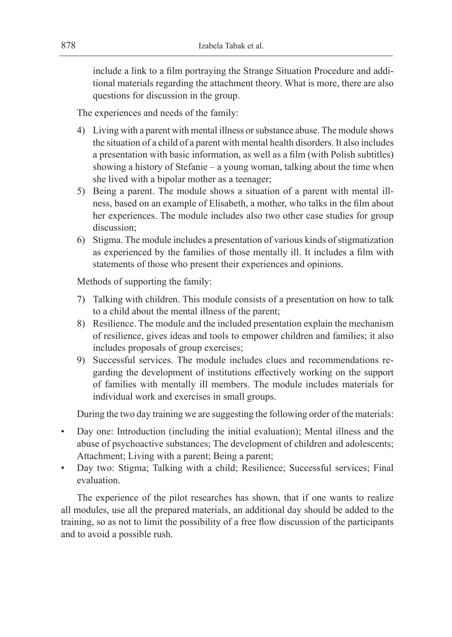include a link to a film portraying the Strange Situation Procedure and additional materials regarding the attachment theory. What is more, there are also questions for discussion in the group.

The experiences and needs of the family:

- 4) Living with a parent with mental illness or substance abuse. The module shows the situation of a child of a parent with mental health disorders. It also includes a presentation with basic information, as well as a film (with Polish subtitles) showing a history of Stefanie – a young woman, talking about the time when she lived with a bipolar mother as a teenager;
- 5) Being a parent. The module shows a situation of a parent with mental illness, based on an example of Elisabeth, a mother, who talks in the film about her experiences. The module includes also two other case studies for group discussion;
- 6) Stigma. The module includes a presentation of various kinds of stigmatization as experienced by the families of those mentally ill. It includes a film with statements of those who present their experiences and opinions.

Methods of supporting the family:

- 7) Talking with children. This module consists of a presentation on how to talk to a child about the mental illness of the parent;
- 8) Resilience. The module and the included presentation explain the mechanism of resilience, gives ideas and tools to empower children and families; it also includes proposals of group exercises;
- 9) Successful services. The module includes clues and recommendations regarding the development of institutions effectively working on the support of families with mentally ill members. The module includes materials for individual work and exercises in small groups.

During the two day training we are suggesting the following order of the materials:

- Day one: Introduction (including the initial evaluation); Mental illness and the abuse of psychoactive substances; The development of children and adolescents; Attachment; Living with a parent; Being a parent;
- Day two: Stigma; Talking with a child; Resilience; Successful services; Final evaluation.

The experience of the pilot researches has shown, that if one wants to realize all modules, use all the prepared materials, an additional day should be added to the training, so as not to limit the possibility of a free flow discussion of the participants and to avoid a possible rush.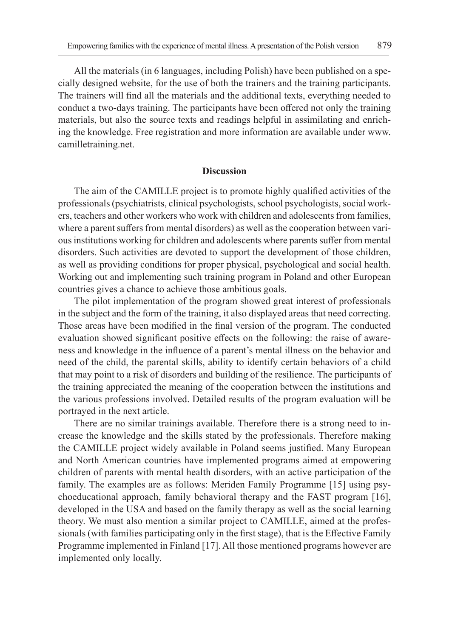All the materials (in 6 languages, including Polish) have been published on a specially designed website, for the use of both the trainers and the training participants. The trainers will find all the materials and the additional texts, everything needed to conduct a two-days training. The participants have been offered not only the training materials, but also the source texts and readings helpful in assimilating and enriching the knowledge. Free registration and more information are available under www. camilletraining.net.

#### **Discussion**

The aim of the CAMILLE project is to promote highly qualified activities of the professionals (psychiatrists, clinical psychologists, school psychologists, social workers, teachers and other workers who work with children and adolescents from families, where a parent suffers from mental disorders) as well as the cooperation between various institutions working for children and adolescents where parents suffer from mental disorders. Such activities are devoted to support the development of those children, as well as providing conditions for proper physical, psychological and social health. Working out and implementing such training program in Poland and other European countries gives a chance to achieve those ambitious goals.

The pilot implementation of the program showed great interest of professionals in the subject and the form of the training, it also displayed areas that need correcting. Those areas have been modified in the final version of the program. The conducted evaluation showed significant positive effects on the following: the raise of awareness and knowledge in the influence of a parent's mental illness on the behavior and need of the child, the parental skills, ability to identify certain behaviors of a child that may point to a risk of disorders and building of the resilience. The participants of the training appreciated the meaning of the cooperation between the institutions and the various professions involved. Detailed results of the program evaluation will be portrayed in the next article.

There are no similar trainings available. Therefore there is a strong need to increase the knowledge and the skills stated by the professionals. Therefore making the CAMILLE project widely available in Poland seems justified. Many European and North American countries have implemented programs aimed at empowering children of parents with mental health disorders, with an active participation of the family. The examples are as follows: Meriden Family Programme [15] using psychoeducational approach, family behavioral therapy and the FAST program [16], developed in the USA and based on the family therapy as well as the social learning theory. We must also mention a similar project to CAMILLE, aimed at the professionals (with families participating only in the first stage), that is the Effective Family Programme implemented in Finland [17]. All those mentioned programs however are implemented only locally.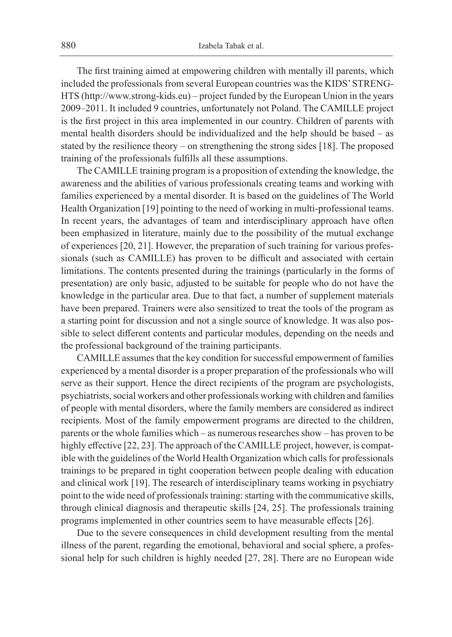The first training aimed at empowering children with mentally ill parents, which included the professionals from several European countries was the KIDS' STRENG-HTS (http://www.strong-kids.eu) – project funded by the European Union in the years 2009–2011. It included 9 countries, unfortunately not Poland. The CAMILLE project is the first project in this area implemented in our country. Children of parents with mental health disorders should be individualized and the help should be based – as stated by the resilience theory – on strengthening the strong sides [18]. The proposed training of the professionals fulfills all these assumptions.

The CAMILLE training program is a proposition of extending the knowledge, the awareness and the abilities of various professionals creating teams and working with families experienced by a mental disorder. It is based on the guidelines of The World Health Organization [19] pointing to the need of working in multi-professional teams. In recent years, the advantages of team and interdisciplinary approach have often been emphasized in literature, mainly due to the possibility of the mutual exchange of experiences [20, 21]. However, the preparation of such training for various professionals (such as CAMILLE) has proven to be difficult and associated with certain limitations. The contents presented during the trainings (particularly in the forms of presentation) are only basic, adjusted to be suitable for people who do not have the knowledge in the particular area. Due to that fact, a number of supplement materials have been prepared. Trainers were also sensitized to treat the tools of the program as a starting point for discussion and not a single source of knowledge. It was also possible to select different contents and particular modules, depending on the needs and the professional background of the training participants.

CAMILLE assumes that the key condition for successful empowerment of families experienced by a mental disorder is a proper preparation of the professionals who will serve as their support. Hence the direct recipients of the program are psychologists, psychiatrists, social workers and other professionals working with children and families of people with mental disorders, where the family members are considered as indirect recipients. Most of the family empowerment programs are directed to the children, parents or the whole families which – as numerous researches show – has proven to be highly effective [22, 23]. The approach of the CAMILLE project, however, is compatible with the guidelines of the World Health Organization which calls for professionals trainings to be prepared in tight cooperation between people dealing with education and clinical work [19]. The research of interdisciplinary teams working in psychiatry point to the wide need of professionals training: starting with the communicative skills, through clinical diagnosis and therapeutic skills [24, 25]. The professionals training programs implemented in other countries seem to have measurable effects [26].

Due to the severe consequences in child development resulting from the mental illness of the parent, regarding the emotional, behavioral and social sphere, a professional help for such children is highly needed [27, 28]. There are no European wide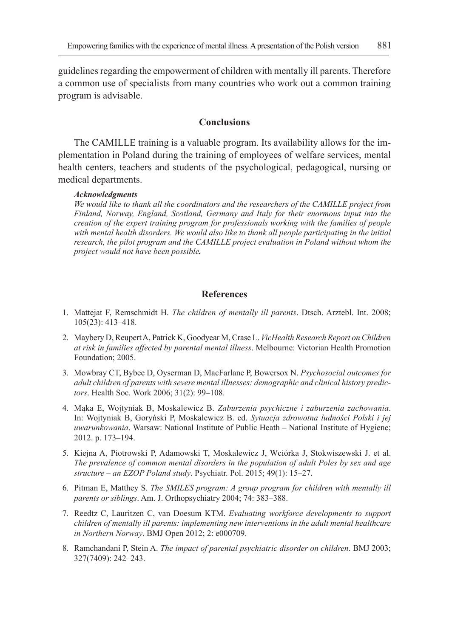guidelines regarding the empowerment of children with mentally ill parents. Therefore a common use of specialists from many countries who work out a common training program is advisable.

## **Conclusions**

The CAMILLE training is a valuable program. Its availability allows for the implementation in Poland during the training of employees of welfare services, mental health centers, teachers and students of the psychological, pedagogical, nursing or medical departments.

#### *Acknowledgments*

*We would like to thank all the coordinators and the researchers of the CAMILLE project from Finland, Norway, England, Scotland, Germany and Italy for their enormous input into the creation of the expert training program for professionals working with the families of people with mental health disorders. We would also like to thank all people participating in the initial research, the pilot program and the CAMILLE project evaluation in Poland without whom the project would not have been possible.*

## **References**

- 1. Mattejat F, Remschmidt H. *The children of mentally ill parents*. Dtsch. Arztebl. Int. 2008; 105(23): 413–418.
- 2. Maybery D, Reupert A, Patrick K, Goodyear M, Crase L. *VicHealth Research Report on Children at risk in families affected by parental mental illness*. Melbourne: Victorian Health Promotion Foundation; 2005.
- 3. Mowbray CT, Bybee D, Oyserman D, MacFarlane P, Bowersox N. *Psychosocial outcomes for adult children of parents with severe mental illnesses: demographic and clinical history predictors*. Health Soc. Work 2006; 31(2): 99–108.
- 4. Mąka E, Wojtyniak B, Moskalewicz B. *Zaburzenia psychiczne i zaburzenia zachowania*. In: Wojtyniak B, Goryński P, Moskalewicz B. ed. *Sytuacja zdrowotna ludności Polski i jej uwarunkowania*. Warsaw: National Institute of Public Heath – National Institute of Hygiene; 2012. p. 173–194.
- 5. Kiejna A, Piotrowski P, Adamowski T, Moskalewicz J, Wciórka J, Stokwiszewski J. et al. *The prevalence of common mental disorders in the population of adult Poles by sex and age structure – an EZOP Poland study*. Psychiatr. Pol. 2015; 49(1): 15–27.
- 6. Pitman E, Matthey S. *The SMILES program: A group program for children with mentally ill parents or siblings*. Am. J. Orthopsychiatry 2004; 74: 383–388.
- 7. Reedtz C, Lauritzen C, van Doesum KTM. *Evaluating workforce developments to support children of mentally ill parents: implementing new interventions in the adult mental healthcare in Northern Norway*. BMJ Open 2012; 2: e000709.
- 8. Ramchandani P, Stein A. *The impact of parental psychiatric disorder on children*. BMJ 2003; 327(7409): 242–243.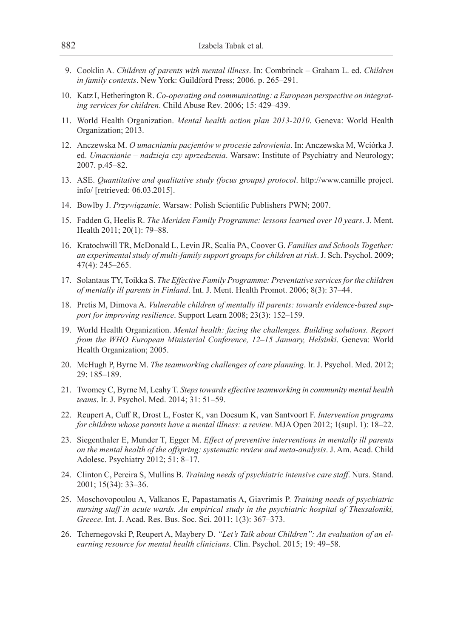- 9. Cooklin A. *Children of parents with mental illness*. In: Combrinck Graham L. ed. *Children in family contexts*. New York: Guildford Press; 2006. p. 265–291.
- 10. Katz I, Hetherington R. *Co-operating and communicating: a European perspective on integrating services for children*. Child Abuse Rev. 2006; 15: 429–439.
- 11. World Health Organization. *Mental health action plan 2013-2010*. Geneva: World Health Organization; 2013.
- 12. Anczewska M. *O umacnianiu pacjentów w procesie zdrowienia*. In: Anczewska M, Wciórka J. ed. *Umacnianie – nadzieja czy uprzedzenia*. Warsaw: Institute of Psychiatry and Neurology; 2007. p.45–82.
- 13. ASE. *Quantitative and qualitative study (focus groups) protocol*. http://www.camille project. info/ [retrieved: 06.03.2015].
- 14. Bowlby J. *Przywiązanie*. Warsaw: Polish Scientific Publishers PWN; 2007.
- 15. Fadden G, Heelis R. *The Meriden Family Programme: lessons learned over 10 years*. J. Ment. Health 2011; 20(1): 79–88.
- 16. Kratochwill TR, McDonald L, Levin JR, Scalia PA, Coover G. *Families and Schools Together: an experimental study of multi-family support groups for children at risk*. J. Sch. Psychol. 2009; 47(4): 245–265.
- 17. Solantaus TY, Toikka S. *The Effective Family Programme: Preventative services for the children of mentally ill parents in Finland*. Int. J. Ment. Health Promot. 2006; 8(3): 37–44.
- 18. Pretis M, Dimova A. *Vulnerable children of mentally ill parents: towards evidence-based support for improving resilience*. Support Learn 2008; 23(3): 152–159.
- 19. World Health Organization. *Mental health: facing the challenges. Building solutions. Report from the WHO European Ministerial Conference, 12–15 January, Helsinki*. Geneva: World Health Organization; 2005.
- 20. McHugh P, Byrne M. *The teamworking challenges of care planning*. Ir. J. Psychol. Med. 2012; 29: 185–189.
- 21. Twomey C, Byrne M, Leahy T. *Steps towards effective teamworking in community mental health teams*. Ir. J. Psychol. Med. 2014; 31: 51–59.
- 22. Reupert A, Cuff R, Drost L, Foster K, van Doesum K, van Santvoort F. *Intervention programs for children whose parents have a mental illness: a review*. MJA Open 2012; 1(supl. 1): 18–22.
- 23. Siegenthaler E, Munder T, Egger M. *Effect of preventive interventions in mentally ill parents on the mental health of the offspring: systematic review and meta-analysis*. J. Am. Acad. Child Adolesc. Psychiatry 2012; 51: 8–17.
- 24. Clinton C, Pereira S, Mullins B. *Training needs of psychiatric intensive care staff*. Nurs. Stand. 2001; 15(34): 33–36.
- 25. Moschovopoulou A, Valkanos E, Papastamatis A, Giavrimis P. *Training needs of psychiatric nursing staff in acute wards. An empirical study in the psychiatric hospital of Thessaloniki, Greece*. Int. J. Acad. Res. Bus. Soc. Sci. 2011; 1(3): 367–373.
- 26. Tchernegovski P, Reupert A, Maybery D. *"Let's Talk about Children": An evaluation of an elearning resource for mental health clinicians*. Clin. Psychol. 2015; 19: 49–58.